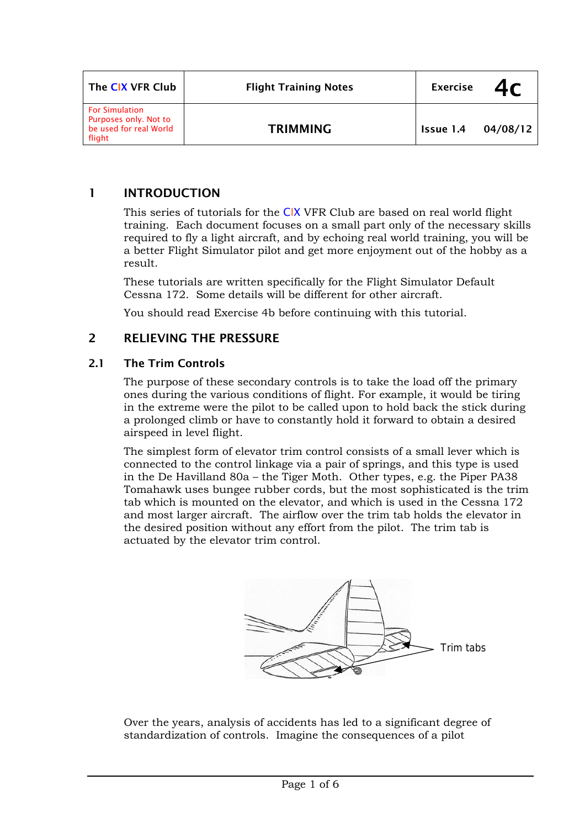| The CIX VFR Club                                                                   | <b>Flight Training Notes</b> | <b>Exercise</b> |          |
|------------------------------------------------------------------------------------|------------------------------|-----------------|----------|
| <b>For Simulation</b><br>Purposes only. Not to<br>be used for real World<br>flight | <b>TRIMMING</b>              | Issue 1.4       | 04/08/12 |

## 1 INTRODUCTION

This series of tutorials for the CIX VFR Club are based on real world flight training. Each document focuses on a small part only of the necessary skills required to fly a light aircraft, and by echoing real world training, you will be a better Flight Simulator pilot and get more enjoyment out of the hobby as a result.

These tutorials are written specifically for the Flight Simulator Default Cessna 172. Some details will be different for other aircraft.

You should read Exercise 4b before continuing with this tutorial.

## 2 RELIEVING THE PRESSURE

### 2.1 The Trim Controls

The purpose of these secondary controls is to take the load off the primary ones during the various conditions of flight. For example, it would be tiring in the extreme were the pilot to be called upon to hold back the stick during a prolonged climb or have to constantly hold it forward to obtain a desired airspeed in level flight.

The simplest form of elevator trim control consists of a small lever which is connected to the control linkage via a pair of springs, and this type is used in the De Havilland 80a – the Tiger Moth. Other types, e.g. the Piper PA38 Tomahawk uses bungee rubber cords, but the most sophisticated is the trim tab which is mounted on the elevator, and which is used in the Cessna 172 and most larger aircraft. The airflow over the trim tab holds the elevator in the desired position without any effort from the pilot. The trim tab is actuated by the elevator trim control.



Over the years, analysis of accidents has led to a significant degree of standardization of controls. Imagine the consequences of a pilot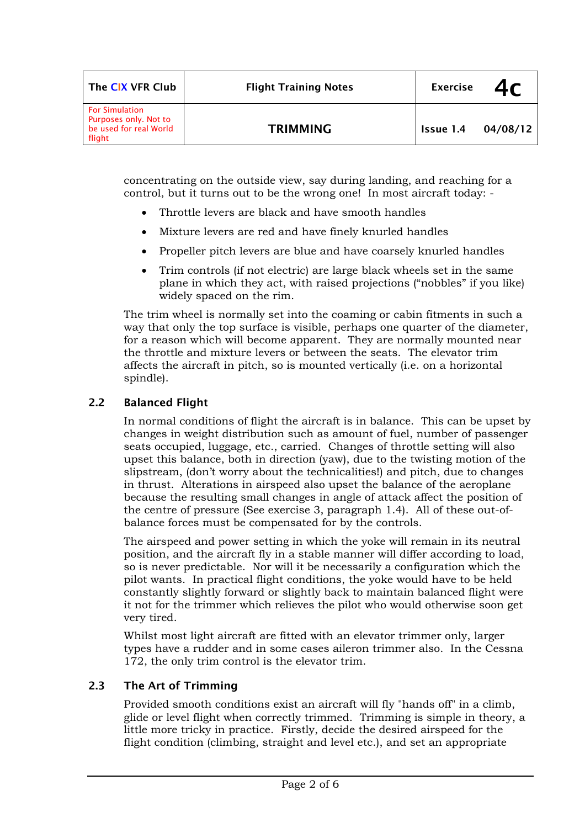| The CIX VFR Club                                                                   | <b>Flight Training Notes</b> | <b>Exercise</b> |          |
|------------------------------------------------------------------------------------|------------------------------|-----------------|----------|
| <b>For Simulation</b><br>Purposes only. Not to<br>be used for real World<br>flight | <b>TRIMMING</b>              | Issue 1.4       | 04/08/12 |

concentrating on the outside view, say during landing, and reaching for a control, but it turns out to be the wrong one! In most aircraft today: -

- Throttle levers are black and have smooth handles
- Mixture levers are red and have finely knurled handles
- Propeller pitch levers are blue and have coarsely knurled handles
- Trim controls (if not electric) are large black wheels set in the same plane in which they act, with raised projections ("nobbles" if you like) widely spaced on the rim.

The trim wheel is normally set into the coaming or cabin fitments in such a way that only the top surface is visible, perhaps one quarter of the diameter, for a reason which will become apparent. They are normally mounted near the throttle and mixture levers or between the seats. The elevator trim affects the aircraft in pitch, so is mounted vertically (i.e. on a horizontal spindle).

## 2.2 Balanced Flight

In normal conditions of flight the aircraft is in balance. This can be upset by changes in weight distribution such as amount of fuel, number of passenger seats occupied, luggage, etc., carried. Changes of throttle setting will also upset this balance, both in direction (yaw), due to the twisting motion of the slipstream, (don't worry about the technicalities!) and pitch, due to changes in thrust. Alterations in airspeed also upset the balance of the aeroplane because the resulting small changes in angle of attack affect the position of the centre of pressure (See exercise 3, paragraph 1.4). All of these out-ofbalance forces must be compensated for by the controls.

The airspeed and power setting in which the yoke will remain in its neutral position, and the aircraft fly in a stable manner will differ according to load, so is never predictable. Nor will it be necessarily a configuration which the pilot wants. In practical flight conditions, the yoke would have to be held constantly slightly forward or slightly back to maintain balanced flight were it not for the trimmer which relieves the pilot who would otherwise soon get very tired.

Whilst most light aircraft are fitted with an elevator trimmer only, larger types have a rudder and in some cases aileron trimmer also. In the Cessna 172, the only trim control is the elevator trim.

### 2.3 The Art of Trimming

Provided smooth conditions exist an aircraft will fly "hands off" in a climb, glide or level flight when correctly trimmed. Trimming is simple in theory, a little more tricky in practice. Firstly, decide the desired airspeed for the flight condition (climbing, straight and level etc.), and set an appropriate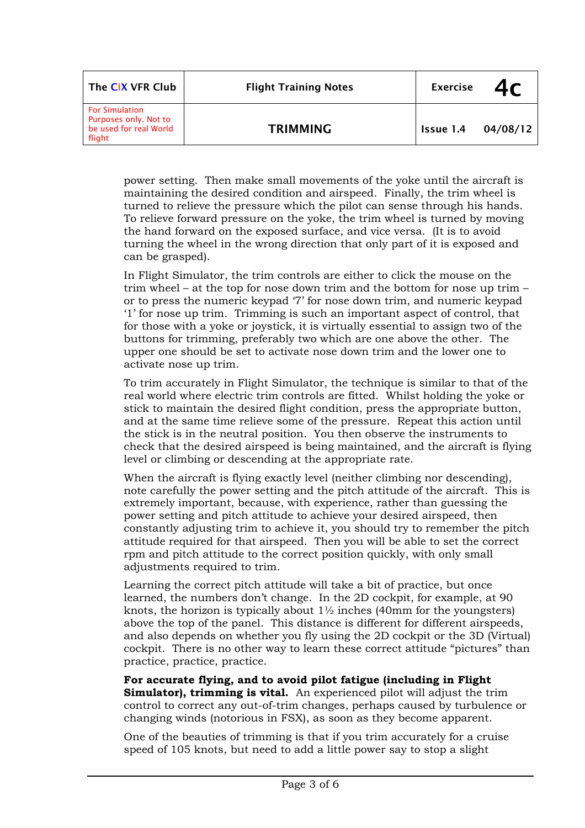| The CIX VFR Club                                                                   | <b>Flight Training Notes</b> | <b>Exercise</b> |          |
|------------------------------------------------------------------------------------|------------------------------|-----------------|----------|
| <b>For Simulation</b><br>Purposes only. Not to<br>be used for real World<br>flight | <b>TRIMMING</b>              | Issue 1.4       | 04/08/12 |

power setting. Then make small movements of the yoke until the aircraft is maintaining the desired condition and airspeed. Finally, the trim wheel is turned to relieve the pressure which the pilot can sense through his hands. To relieve forward pressure on the yoke, the trim wheel is turned by moving the hand forward on the exposed surface, and vice versa. (It is to avoid turning the wheel in the wrong direction that only part of it is exposed and can be grasped).

In Flight Simulator, the trim controls are either to click the mouse on the trim wheel – at the top for nose down trim and the bottom for nose up trim – or to press the numeric keypad '7' for nose down trim, and numeric keypad '1' for nose up trim. Trimming is such an important aspect of control, that for those with a yoke or joystick, it is virtually essential to assign two of the buttons for trimming, preferably two which are one above the other. The upper one should be set to activate nose down trim and the lower one to activate nose up trim.

To trim accurately in Flight Simulator, the technique is similar to that of the real world where electric trim controls are fitted. Whilst holding the yoke or stick to maintain the desired flight condition, press the appropriate button, and at the same time relieve some of the pressure. Repeat this action until the stick is in the neutral position. You then observe the instruments to check that the desired airspeed is being maintained, and the aircraft is flying level or climbing or descending at the appropriate rate.

When the aircraft is flying exactly level (neither climbing nor descending), note carefully the power setting and the pitch attitude of the aircraft. This is extremely important, because, with experience, rather than guessing the power setting and pitch attitude to achieve your desired airspeed, then constantly adjusting trim to achieve it, you should try to remember the pitch attitude required for that airspeed. Then you will be able to set the correct rpm and pitch attitude to the correct position quickly, with only small adjustments required to trim.

Learning the correct pitch attitude will take a bit of practice, but once learned, the numbers don't change. In the 2D cockpit, for example, at 90 knots, the horizon is typically about 1½ inches (40mm for the youngsters) above the top of the panel. This distance is different for different airspeeds, and also depends on whether you fly using the 2D cockpit or the 3D (Virtual) cockpit. There is no other way to learn these correct attitude "pictures" than practice, practice, practice.

**For accurate flying, and to avoid pilot fatigue (including in Flight Simulator), trimming is vital.** An experienced pilot will adjust the trim control to correct any out-of-trim changes, perhaps caused by turbulence or changing winds (notorious in FSX), as soon as they become apparent.

One of the beauties of trimming is that if you trim accurately for a cruise speed of 105 knots, but need to add a little power say to stop a slight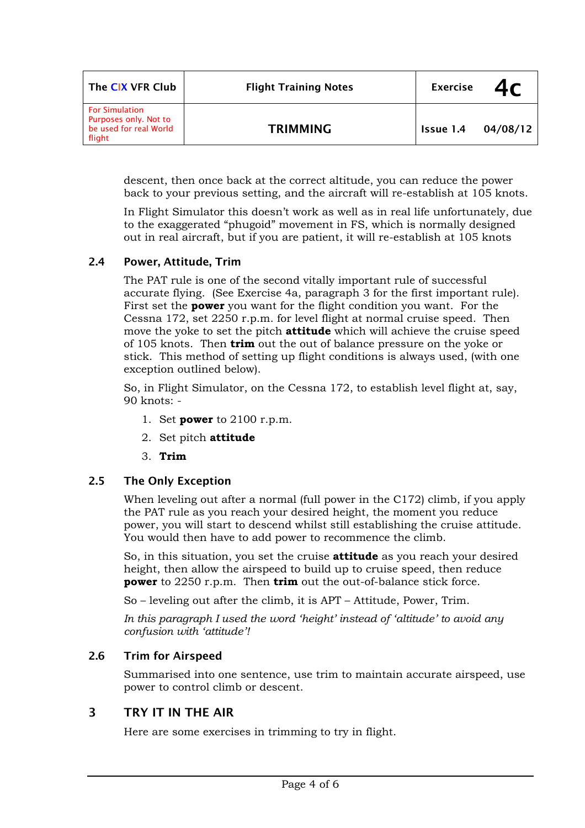| The CIX VFR Club                                                                   | <b>Flight Training Notes</b> | <b>Exercise</b> | 4 <sub>C</sub> |
|------------------------------------------------------------------------------------|------------------------------|-----------------|----------------|
| <b>For Simulation</b><br>Purposes only. Not to<br>be used for real World<br>flight | <b>TRIMMING</b>              | Issue 1.4       | 04/08/12       |

descent, then once back at the correct altitude, you can reduce the power back to your previous setting, and the aircraft will re-establish at 105 knots.

In Flight Simulator this doesn't work as well as in real life unfortunately, due to the exaggerated "phugoid" movement in FS, which is normally designed out in real aircraft, but if you are patient, it will re-establish at 105 knots

### 2.4 Power, Attitude, Trim

The PAT rule is one of the second vitally important rule of successful accurate flying. (See Exercise 4a, paragraph 3 for the first important rule). First set the **power** you want for the flight condition you want. For the Cessna 172, set 2250 r.p.m. for level flight at normal cruise speed. Then move the yoke to set the pitch **attitude** which will achieve the cruise speed of 105 knots. Then **trim** out the out of balance pressure on the yoke or stick. This method of setting up flight conditions is always used, (with one exception outlined below).

So, in Flight Simulator, on the Cessna 172, to establish level flight at, say, 90 knots: -

- 1. Set **power** to 2100 r.p.m.
- 2. Set pitch **attitude**
- 3. **Trim**

#### 2.5 The Only Exception

When leveling out after a normal (full power in the C172) climb, if you apply the PAT rule as you reach your desired height, the moment you reduce power, you will start to descend whilst still establishing the cruise attitude. You would then have to add power to recommence the climb.

So, in this situation, you set the cruise **attitude** as you reach your desired height, then allow the airspeed to build up to cruise speed, then reduce **power** to 2250 r.p.m. Then **trim** out the out-of-balance stick force.

So – leveling out after the climb, it is APT – Attitude, Power, Trim.

*In this paragraph I used the word 'height' instead of 'altitude' to avoid any confusion with 'attitude'!* 

#### 2.6 Trim for Airspeed

Summarised into one sentence, use trim to maintain accurate airspeed, use power to control climb or descent.

### 3 TRY IT IN THE AIR

Here are some exercises in trimming to try in flight.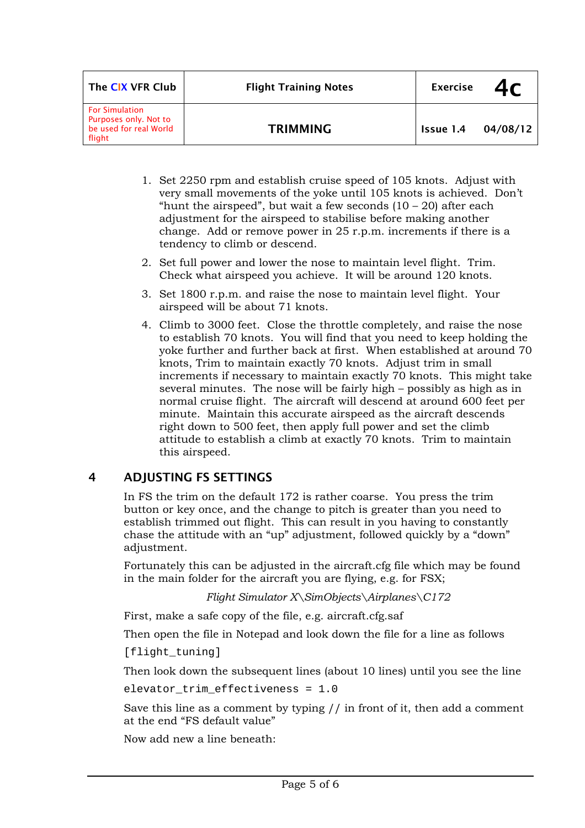| The CIX VFR Club                                                                   | <b>Flight Training Notes</b> | <b>Exercise</b> |          |
|------------------------------------------------------------------------------------|------------------------------|-----------------|----------|
| <b>For Simulation</b><br>Purposes only. Not to<br>be used for real World<br>flight | <b>TRIMMING</b>              | Issue 1.4       | 04/08/12 |

- 1. Set 2250 rpm and establish cruise speed of 105 knots. Adjust with very small movements of the yoke until 105 knots is achieved. Don't "hunt the airspeed", but wait a few seconds  $(10 - 20)$  after each adjustment for the airspeed to stabilise before making another change. Add or remove power in 25 r.p.m. increments if there is a tendency to climb or descend.
- 2. Set full power and lower the nose to maintain level flight. Trim. Check what airspeed you achieve. It will be around 120 knots.
- 3. Set 1800 r.p.m. and raise the nose to maintain level flight. Your airspeed will be about 71 knots.
- 4. Climb to 3000 feet. Close the throttle completely, and raise the nose to establish 70 knots. You will find that you need to keep holding the yoke further and further back at first. When established at around 70 knots, Trim to maintain exactly 70 knots. Adjust trim in small increments if necessary to maintain exactly 70 knots. This might take several minutes. The nose will be fairly high – possibly as high as in normal cruise flight. The aircraft will descend at around 600 feet per minute. Maintain this accurate airspeed as the aircraft descends right down to 500 feet, then apply full power and set the climb attitude to establish a climb at exactly 70 knots. Trim to maintain this airspeed.

# 4 ADJUSTING FS SETTINGS

In FS the trim on the default 172 is rather coarse. You press the trim button or key once, and the change to pitch is greater than you need to establish trimmed out flight. This can result in you having to constantly chase the attitude with an "up" adjustment, followed quickly by a "down" adjustment.

Fortunately this can be adjusted in the aircraft.cfg file which may be found in the main folder for the aircraft you are flying, e.g. for FSX;

*Flight Simulator X\SimObjects\Airplanes\C172* 

First, make a safe copy of the file, e.g. aircraft.cfg.saf

Then open the file in Notepad and look down the file for a line as follows

[flight tuning]

Then look down the subsequent lines (about 10 lines) until you see the line

elevator\_trim\_effectiveness = 1.0

Save this line as a comment by typing // in front of it, then add a comment at the end "FS default value"

Now add new a line beneath: